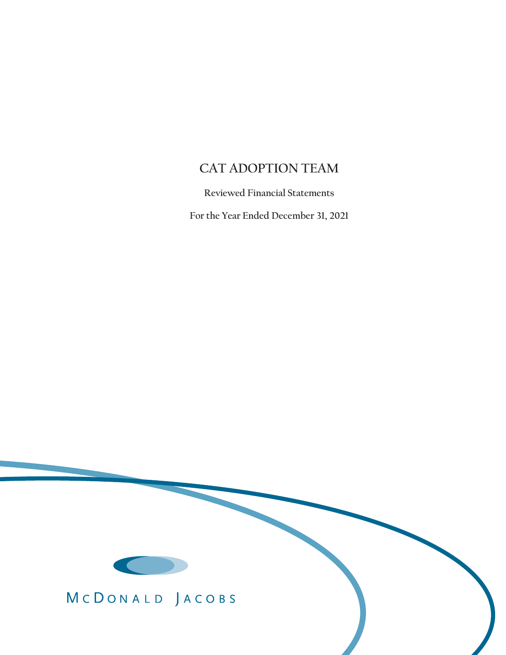# **CAT ADOPTION TEAM**

**Reviewed Financial Statements** 

**For the Year Ended December 31, 2021** 



MCDONALD JACOBS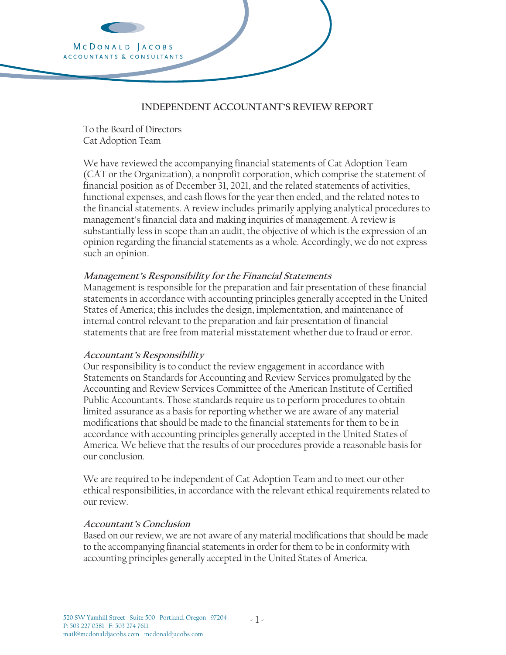

#### **INDEPENDENT ACCOUNTANT'S REVIEW REPORT**

To the Board of Directors Cat Adoption Team

We have reviewed the accompanying financial statements of Cat Adoption Team (CAT or the Organization), a nonprofit corporation, which comprise the statement of financial position as of December 31, 2021, and the related statements of activities, functional expenses, and cash flows for the year then ended, and the related notes to the financial statements. A review includes primarily applying analytical procedures to management's financial data and making inquiries of management. A review is substantially less in scope than an audit, the objective of which is the expression of an opinion regarding the financial statements as a whole. Accordingly, we do not express such an opinion.

# **Management's Responsibility for the Financial Statements**

Management is responsible for the preparation and fair presentation of these financial statements in accordance with accounting principles generally accepted in the United States of America; this includes the design, implementation, and maintenance of internal control relevant to the preparation and fair presentation of financial statements that are free from material misstatement whether due to fraud or error.

# **Accountant's Responsibility**

Our responsibility is to conduct the review engagement in accordance with Statements on Standards for Accounting and Review Services promulgated by the Accounting and Review Services Committee of the American Institute of Certified Public Accountants. Those standards require us to perform procedures to obtain limited assurance as a basis for reporting whether we are aware of any material modifications that should be made to the financial statements for them to be in accordance with accounting principles generally accepted in the United States of America. We believe that the results of our procedures provide a reasonable basis for our conclusion.

We are required to be independent of Cat Adoption Team and to meet our other ethical responsibilities, in accordance with the relevant ethical requirements related to our review.

#### **Accountant's Conclusion**

Based on our review, we are not aware of any material modifications that should be made to the accompanying financial statements in order for them to be in conformity with accounting principles generally accepted in the United States of America.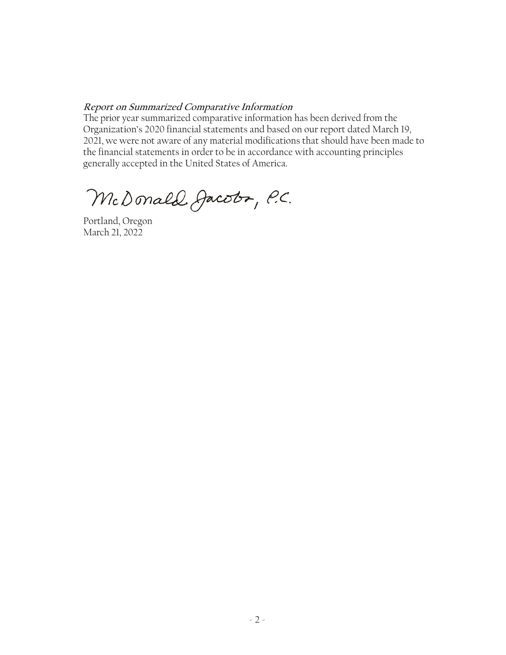# **Report on Summarized Comparative Information**

The prior year summarized comparative information has been derived from the Organization's 2020 financial statements and based on our report dated March 19, 2021, we were not aware of any material modifications that should have been made to the financial statements in order to be in accordance with accounting principles generally accepted in the United States of America.

McDonald Jacobs, P.C.

Portland, Oregon March 21, 2022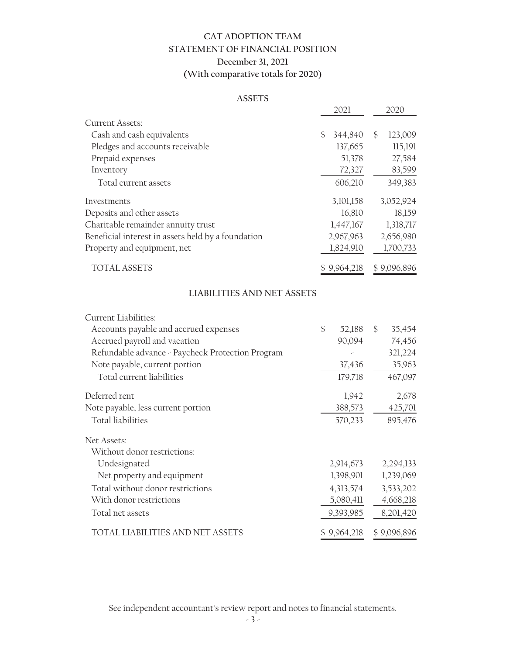# **CAT ADOPTION TEAM STATEMENT OF FINANCIAL POSITION December 31, 2021 (With comparative totals for 2020)**

# **ASSETS**

|                                                    | 2021          | 2020           |
|----------------------------------------------------|---------------|----------------|
| <b>Current Assets:</b>                             |               |                |
| Cash and cash equivalents                          | \$<br>344,840 | \$<br>123,009  |
| Pledges and accounts receivable                    | 137,665       | 115,191        |
| Prepaid expenses                                   | 51,378        | 27,584         |
| Inventory                                          | 72,327        | 83,599         |
| Total current assets                               | 606,210       | 349,383        |
| Investments                                        | 3,101,158     | 3,052,924      |
| Deposits and other assets                          | 16,810        | 18,159         |
| Charitable remainder annuity trust                 | 1,447,167     | 1,318,717      |
| Beneficial interest in assets held by a foundation | 2,967,963     | 2,656,980      |
| Property and equipment, net                        | 1,824,910     | 1,700,733      |
| <b>TOTAL ASSETS</b>                                | \$9,964,218   | \$9,096,896    |
| <b>LIABILITIES AND NET ASSETS</b>                  |               |                |
| <b>Current Liabilities:</b>                        |               |                |
| Accounts payable and accrued expenses              | \$<br>52,188  | \$<br>35,454   |
| Accrued payroll and vacation                       | 90,094        | 74,456         |
| Refundable advance - Paycheck Protection Program   |               | 321,224        |
| Note payable, current portion                      | 37,436        | 35,963         |
| Total current liabilities                          | 179,718       | 467,097        |
| Deferred rent                                      |               | 1,942<br>2,678 |
| Note payable, less current portion                 | 388,573       | 425,701        |
| <b>Total</b> liabilities                           | 570,233       | 895,476        |
| Net Assets:                                        |               |                |
| Without donor restrictions:                        |               |                |
| Undesignated                                       | 2,914,673     | 2,294,133      |
| Net property and equipment                         | 1,398,901     | 1,239,069      |
| Total without donor restrictions                   | 4,313,574     | 3,533,202      |
| With donor restrictions                            | 5,080,411     | 4,668,218      |
| Total net assets                                   | 9,393,985     | 8,201,420      |
| TOTAL LIABILITIES AND NET ASSETS                   | \$9,964,218   | \$9,096,896    |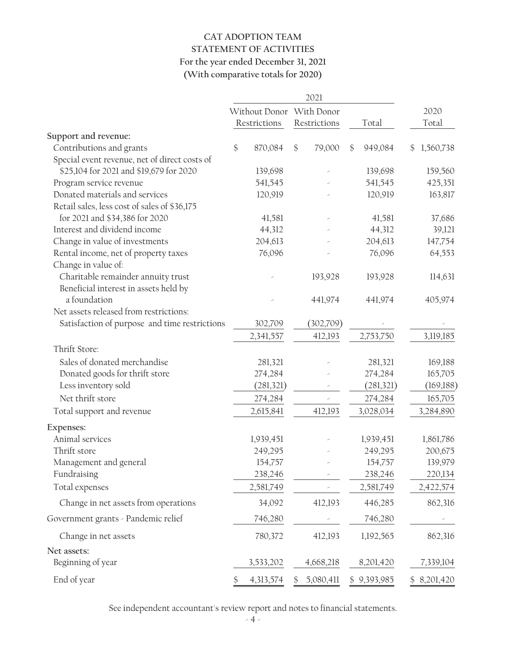# **CAT ADOPTION TEAM STATEMENT OF ACTIVITIES For the year ended December 31, 2021 (With comparative totals for 2020)**

|                                               |                   | 2021         |               |   |             |
|-----------------------------------------------|-------------------|--------------|---------------|---|-------------|
|                                               | Without Donor     | With Donor   |               |   | 2020        |
|                                               | Restrictions      | Restrictions | Total         |   | Total       |
| Support and revenue:                          |                   |              |               |   |             |
| Contributions and grants                      | \$<br>870,084     | \$<br>79,000 | \$<br>949,084 | S | 1,560,738   |
| Special event revenue, net of direct costs of |                   |              |               |   |             |
| \$25,104 for 2021 and \$19,679 for 2020       | 139,698           |              | 139,698       |   | 159,560     |
| Program service revenue                       | 541,545           |              | 541,545       |   | 425,351     |
| Donated materials and services                | 120,919           |              | 120,919       |   | 163,817     |
| Retail sales, less cost of sales of \$36,175  |                   |              |               |   |             |
| for 2021 and \$34,386 for 2020                | 41,581            |              | 41,581        |   | 37,686      |
| Interest and dividend income                  | 44,312            |              | 44,312        |   | 39,121      |
| Change in value of investments                | 204,613           |              | 204,613       |   | 147,754     |
| Rental income, net of property taxes          | 76,096            |              | 76,096        |   | 64,553      |
| Change in value of:                           |                   |              |               |   |             |
| Charitable remainder annuity trust            |                   | 193,928      | 193,928       |   | 114,631     |
| Beneficial interest in assets held by         |                   |              |               |   |             |
| a foundation                                  |                   | 441,974      | 441,974       |   | 405,974     |
| Net assets released from restrictions:        |                   |              |               |   |             |
| Satisfaction of purpose and time restrictions | 302,709           | (302,709)    |               |   |             |
|                                               | 2,341,557         | 412,193      | 2,753,750     |   | 3,119,185   |
| Thrift Store:                                 |                   |              |               |   |             |
| Sales of donated merchandise                  | 281,321           |              | 281,321       |   | 169,188     |
| Donated goods for thrift store                | 274,284           |              | 274,284       |   | 165,705     |
| Less inventory sold                           | (281, 321)        |              | (281, 321)    |   | (169, 188)  |
| Net thrift store                              | 274,284           |              | 274,284       |   | 165,705     |
| Total support and revenue                     | 2,615,841         | 412,193      | 3,028,034     |   | 3,284,890   |
| Expenses:                                     |                   |              |               |   |             |
| Animal services                               | 1,939,451         |              | 1,939,451     |   | 1,861,786   |
| Thrift store                                  | 249,295           |              | 249,295       |   | 200,675     |
| Management and general                        | 154,757           |              | 154,757       |   | 139,979     |
| Fundraising                                   | 238,246           |              | 238,246       |   | 220,134     |
| Total expenses                                | 2,581,749         |              | 2,581,749     |   | 2,422,574   |
|                                               |                   |              |               |   |             |
| Change in net assets from operations          | 34,092            | 412,193      | 446,285       |   | 862,316     |
| Government grants - Pandemic relief           | 746,280           |              | 746,280       |   |             |
| Change in net assets                          | 780,372           | 412,193      | 1,192,565     |   | 862,316     |
| Net assets:                                   |                   |              |               |   |             |
| Beginning of year                             | 3,533,202         | 4,668,218    | 8,201,420     |   | 7,339,104   |
| End of year                                   | \$<br>4, 313, 574 | 5,080,411    | \$9,393,985   |   | \$8,201,420 |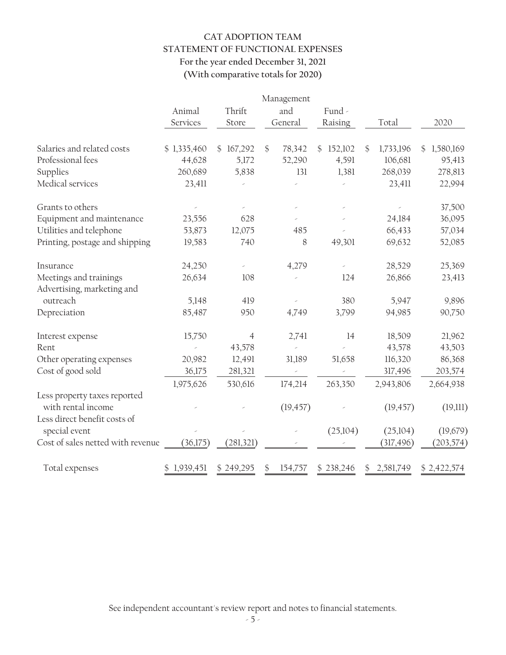# **CAT ADOPTION TEAM STATEMENT OF FUNCTIONAL EXPENSES For the year ended December 31, 2021 (With comparative totals for 2020)**

|                                                    |             |                | Management    |               |                            |                 |
|----------------------------------------------------|-------------|----------------|---------------|---------------|----------------------------|-----------------|
|                                                    | Animal      | Thrift         | and           | Fund -        |                            |                 |
|                                                    | Services    | Store          | General       | Raising       | Total                      | 2020            |
| Salaries and related costs                         | \$1,335,460 | 167,292<br>\$  | \$<br>78,342  | 152,102<br>\$ | 1,733,196<br>\$            | 1,580,169<br>\$ |
| Professional fees                                  | 44,628      | 5,172          | 52,290        | 4,591         | 106,681                    | 95,413          |
| Supplies                                           | 260,689     | 5,838          | 131           | 1,381         | 268,039                    | 278,813         |
| Medical services                                   | 23,411      |                |               |               | 23,411                     | 22,994          |
| Grants to others                                   |             |                |               |               |                            | 37,500          |
| Equipment and maintenance                          | 23,556      | 628            |               |               | 24,184                     | 36,095          |
| Utilities and telephone                            | 53,873      | 12,075         | 485           |               | 66,433                     | 57,034          |
| Printing, postage and shipping                     | 19,583      | 740            | 8             | 49,301        | 69,632                     | 52,085          |
| Insurance                                          | 24,250      | ×              | 4,279         | ×             | 28,529                     | 25,369          |
| Meetings and trainings                             | 26,634      | 108            |               | 124           | 26,866                     | 23,413          |
| Advertising, marketing and                         |             |                |               |               |                            |                 |
| outreach                                           | 5,148       | 419            |               | 380           | 5,947                      | 9,896           |
| Depreciation                                       | 85,487      | 950            | 4,749         | 3,799         | 94,985                     | 90,750          |
| Interest expense                                   | 15,750      | $\overline{4}$ | 2,741         | 14            | 18,509                     | 21,962          |
| Rent                                               |             | 43,578         |               |               | 43,578                     | 43,503          |
| Other operating expenses                           | 20,982      | 12,491         | 31,189        | 51,658        | 116,320                    | 86,368          |
| Cost of good sold                                  | 36,175      | 281,321        |               |               | 317,496                    | 203,574         |
|                                                    | 1,975,626   | 530,616        | 174,214       | 263,350       | 2,943,806                  | 2,664,938       |
| Less property taxes reported<br>with rental income |             |                |               |               |                            |                 |
| Less direct benefit costs of                       |             |                | (19, 457)     |               | (19, 457)                  | (19,111)        |
| special event                                      |             |                |               | (25,104)      | (25,104)                   | (19,679)        |
| Cost of sales netted with revenue                  | (36,175)    | (281, 321)     |               |               | (317, 496)                 | (203,574)       |
| Total expenses                                     | 1,939,451   | \$249,295      | 154,757<br>\$ | \$238,246     | 2,581,749<br>$\mathcal{S}$ | \$2,422,574     |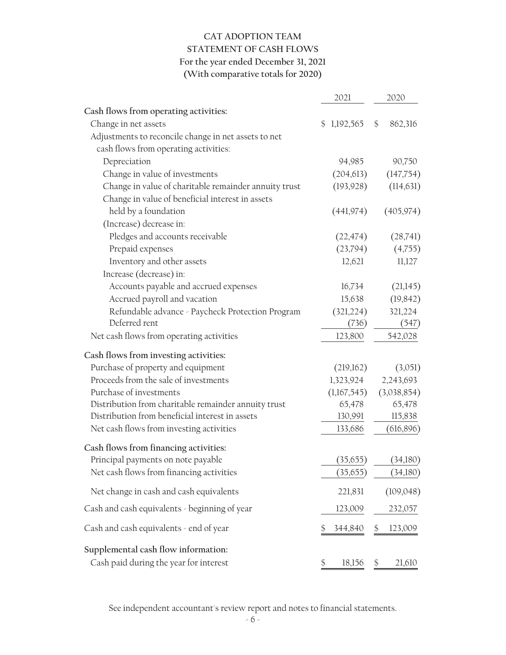# **CAT ADOPTION TEAM STATEMENT OF CASH FLOWS For the year ended December 31, 2021 (With comparative totals for 2020)**

|                                                       | 2021        | 2020          |
|-------------------------------------------------------|-------------|---------------|
| Cash flows from operating activities:                 |             |               |
| Change in net assets                                  | \$1,192,565 | \$<br>862,316 |
| Adjustments to reconcile change in net assets to net  |             |               |
| cash flows from operating activities:                 |             |               |
| Depreciation                                          | 94,985      | 90,750        |
| Change in value of investments                        | (204, 613)  | (147,754)     |
| Change in value of charitable remainder annuity trust | (193, 928)  | (114, 631)    |
| Change in value of beneficial interest in assets      |             |               |
| held by a foundation                                  | (441,974)   | (405, 974)    |
| (Increase) decrease in:                               |             |               |
| Pledges and accounts receivable                       | (22, 474)   | (28,741)      |
| Prepaid expenses                                      | (23,794)    | (4,755)       |
| Inventory and other assets                            | 12,621      | 11,127        |
| Increase (decrease) in:                               |             |               |
| Accounts payable and accrued expenses                 | 16,734      | (21,145)      |
| Accrued payroll and vacation                          | 15,638      | (19, 842)     |
| Refundable advance - Paycheck Protection Program      | (321, 224)  | 321,224       |
| Deferred rent                                         | (736)       | (547)         |
| Net cash flows from operating activities              | 123,800     | 542,028       |
| Cash flows from investing activities:                 |             |               |
| Purchase of property and equipment                    | (219,162)   | (3,051)       |
| Proceeds from the sale of investments                 | 1,323,924   | 2,243,693     |
| Purchase of investments                               | (1,167,545) | (3,038,854)   |
| Distribution from charitable remainder annuity trust  | 65,478      | 65,478        |
| Distribution from beneficial interest in assets       | 130,991     | 115,838       |
| Net cash flows from investing activities              | 133,686     | (616,896)     |
| Cash flows from financing activities:                 |             |               |
| Principal payments on note payable                    | (35,655)    | (34,180)      |
| Net cash flows from financing activities              | (35,655)    | (34,180)      |
| Net change in cash and cash equivalents               | 221,831     | (109, 048)    |
| Cash and cash equivalents - beginning of year         | 123,009     | 232,057       |
| Cash and cash equivalents - end of year               | 344,840     | 123,009       |
| Supplemental cash flow information:                   |             |               |
| Cash paid during the year for interest                | 18,156      | 21,610        |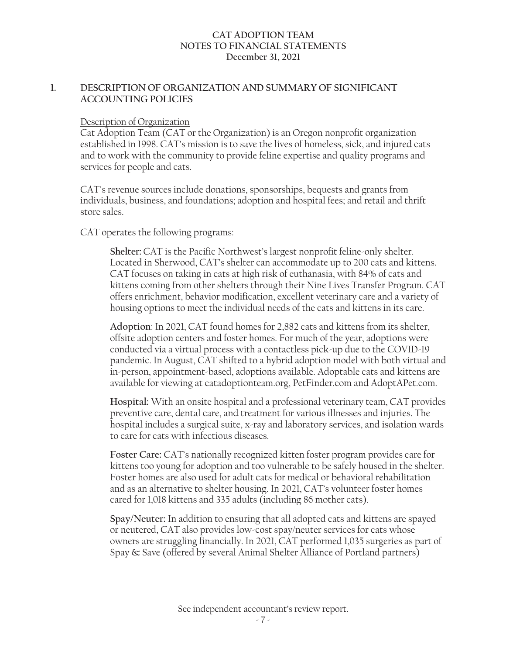#### **1. DESCRIPTION OF ORGANIZATION AND SUMMARY OF SIGNIFICANT ACCOUNTING POLICIES**

#### Description of Organization

Cat Adoption Team (CAT or the Organization) is an Oregon nonprofit organization established in 1998. CAT's mission is to save the lives of homeless, sick, and injured cats and to work with the community to provide feline expertise and quality programs and services for people and cats.

CAT's revenue sources include donations, sponsorships, bequests and grants from individuals, business, and foundations; adoption and hospital fees; and retail and thrift store sales.

CAT operates the following programs:

**Shelter:** CAT is the Pacific Northwest's largest nonprofit feline-only shelter. Located in Sherwood, CAT's shelter can accommodate up to 200 cats and kittens. CAT focuses on taking in cats at high risk of euthanasia, with 84% of cats and kittens coming from other shelters through their Nine Lives Transfer Program. CAT offers enrichment, behavior modification, excellent veterinary care and a variety of housing options to meet the individual needs of the cats and kittens in its care.

**Adoption**: In 2021, CAT found homes for 2,882 cats and kittens from its shelter, offsite adoption centers and foster homes. For much of the year, adoptions were conducted via a virtual process with a contactless pick-up due to the COVID-19 pandemic. In August, CAT shifted to a hybrid adoption model with both virtual and in-person, appointment-based, adoptions available. Adoptable cats and kittens are available for viewing at catadoptionteam.org, PetFinder.com and AdoptAPet.com.

**Hospital:** With an onsite hospital and a professional veterinary team, CAT provides preventive care, dental care, and treatment for various illnesses and injuries. The hospital includes a surgical suite, x-ray and laboratory services, and isolation wards to care for cats with infectious diseases.

**Foster Care:** CAT's nationally recognized kitten foster program provides care for kittens too young for adoption and too vulnerable to be safely housed in the shelter. Foster homes are also used for adult cats for medical or behavioral rehabilitation and as an alternative to shelter housing. In 2021, CAT's volunteer foster homes cared for 1,018 kittens and 335 adults (including 86 mother cats).

**Spay/Neuter:** In addition to ensuring that all adopted cats and kittens are spayed or neutered, CAT also provides low-cost spay/neuter services for cats whose owners are struggling financially. In 2021, CAT performed 1,035 surgeries as part of Spay & Save (offered by several Animal Shelter Alliance of Portland partners)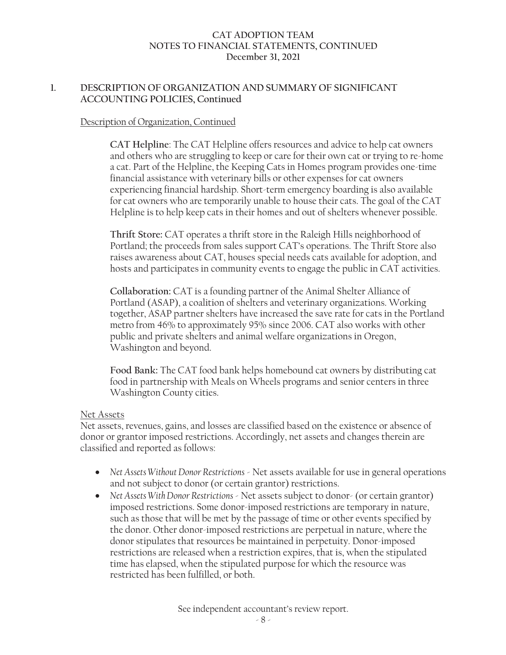#### **1. DESCRIPTION OF ORGANIZATION AND SUMMARY OF SIGNIFICANT ACCOUNTING POLICIES, Continued**

# Description of Organization, Continued

**CAT Helpline**: The CAT Helpline offers resources and advice to help cat owners and others who are struggling to keep or care for their own cat or trying to re-home a cat. Part of the Helpline, the Keeping Cats in Homes program provides one-time financial assistance with veterinary bills or other expenses for cat owners experiencing financial hardship. Short-term emergency boarding is also available for cat owners who are temporarily unable to house their cats. The goal of the CAT Helpline is to help keep cats in their homes and out of shelters whenever possible.

**Thrift Store:** CAT operates a thrift store in the Raleigh Hills neighborhood of Portland; the proceeds from sales support CAT's operations. The Thrift Store also raises awareness about CAT, houses special needs cats available for adoption, and hosts and participates in community events to engage the public in CAT activities.

**Collaboration:** CAT is a founding partner of the Animal Shelter Alliance of Portland (ASAP), a coalition of shelters and veterinary organizations. Working together, ASAP partner shelters have increased the save rate for cats in the Portland metro from 46% to approximately 95% since 2006. CAT also works with other public and private shelters and animal welfare organizations in Oregon, Washington and beyond.

**Food Bank:** The CAT food bank helps homebound cat owners by distributing cat food in partnership with Meals on Wheels programs and senior centers in three Washington County cities.

# Net Assets

Net assets, revenues, gains, and losses are classified based on the existence or absence of donor or grantor imposed restrictions. Accordingly, net assets and changes therein are classified and reported as follows:

- *Net Assets Without Donor Restrictions* Net assets available for use in general operations and not subject to donor (or certain grantor) restrictions.
- Net Assets With Donor Restrictions Net assets subject to donor- (or certain grantor) imposed restrictions. Some donor-imposed restrictions are temporary in nature, such as those that will be met by the passage of time or other events specified by the donor. Other donor-imposed restrictions are perpetual in nature, where the donor stipulates that resources be maintained in perpetuity. Donor-imposed restrictions are released when a restriction expires, that is, when the stipulated time has elapsed, when the stipulated purpose for which the resource was restricted has been fulfilled, or both.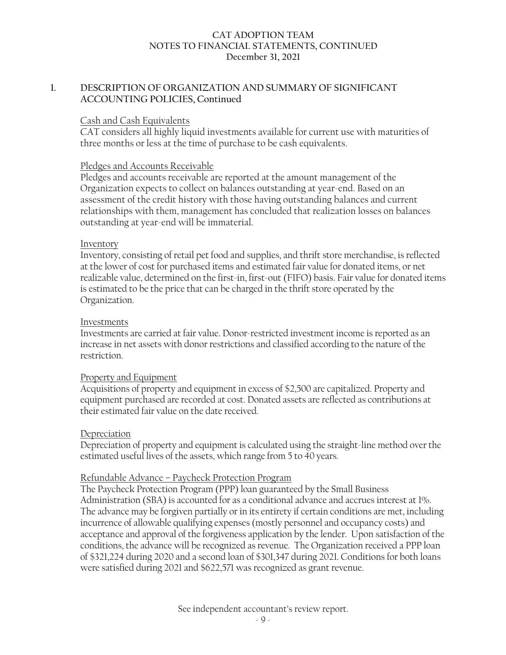#### **1. DESCRIPTION OF ORGANIZATION AND SUMMARY OF SIGNIFICANT ACCOUNTING POLICIES, Continued**

#### Cash and Cash Equivalents

CAT considers all highly liquid investments available for current use with maturities of three months or less at the time of purchase to be cash equivalents.

# Pledges and Accounts Receivable

Pledges and accounts receivable are reported at the amount management of the Organization expects to collect on balances outstanding at year-end. Based on an assessment of the credit history with those having outstanding balances and current relationships with them, management has concluded that realization losses on balances outstanding at year-end will be immaterial.

# Inventory

Inventory, consisting of retail pet food and supplies, and thrift store merchandise, is reflected at the lower of cost for purchased items and estimated fair value for donated items, or net realizable value, determined on the first-in, first-out (FIFO) basis. Fair value for donated items is estimated to be the price that can be charged in the thrift store operated by the Organization.

# Investments

Investments are carried at fair value. Donor-restricted investment income is reported as an increase in net assets with donor restrictions and classified according to the nature of the restriction.

# Property and Equipment

Acquisitions of property and equipment in excess of \$2,500 are capitalized. Property and equipment purchased are recorded at cost. Donated assets are reflected as contributions at their estimated fair value on the date received.

#### Depreciation

Depreciation of property and equipment is calculated using the straight-line method over the estimated useful lives of the assets, which range from 5 to 40 years.

# Refundable Advance – Paycheck Protection Program

The Paycheck Protection Program (PPP) loan guaranteed by the Small Business Administration (SBA) is accounted for as a conditional advance and accrues interest at 1%. The advance may be forgiven partially or in its entirety if certain conditions are met, including incurrence of allowable qualifying expenses (mostly personnel and occupancy costs) and acceptance and approval of the forgiveness application by the lender. Upon satisfaction of the conditions, the advance will be recognized as revenue. The Organization received a PPP loan of \$321,224 during 2020 and a second loan of \$301,347 during 2021. Conditions for both loans were satisfied during 2021 and \$622,571 was recognized as grant revenue.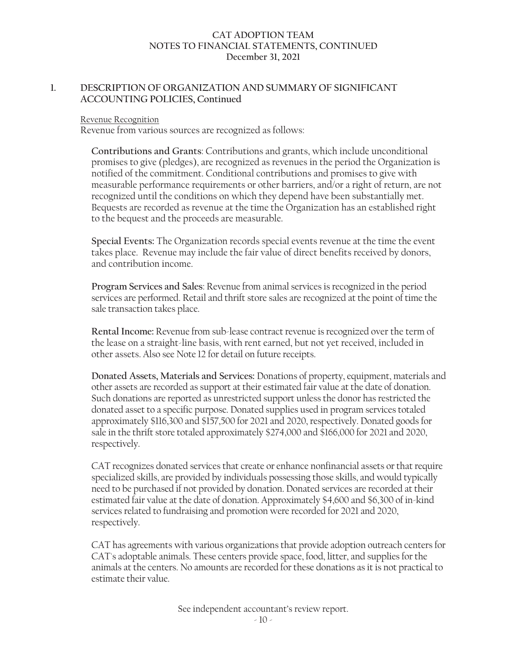#### **1. DESCRIPTION OF ORGANIZATION AND SUMMARY OF SIGNIFICANT ACCOUNTING POLICIES, Continued**

#### Revenue Recognition

Revenue from various sources are recognized as follows:

**Contributions and Grants**: Contributions and grants, which include unconditional promises to give (pledges), are recognized as revenues in the period the Organization is notified of the commitment. Conditional contributions and promises to give with measurable performance requirements or other barriers, and/or a right of return, are not recognized until the conditions on which they depend have been substantially met. Bequests are recorded as revenue at the time the Organization has an established right to the bequest and the proceeds are measurable.

**Special Events:** The Organization records special events revenue at the time the event takes place. Revenue may include the fair value of direct benefits received by donors, and contribution income.

**Program Services and Sales**: Revenue from animal services is recognized in the period services are performed. Retail and thrift store sales are recognized at the point of time the sale transaction takes place.

**Rental Income:** Revenue from sub-lease contract revenue is recognized over the term of the lease on a straight-line basis, with rent earned, but not yet received, included in other assets. Also see Note 12 for detail on future receipts.

**Donated Assets, Materials and Services:** Donations of property, equipment, materials and other assets are recorded as support at their estimated fair value at the date of donation. Such donations are reported as unrestricted support unless the donor has restricted the donated asset to a specific purpose. Donated supplies used in program services totaled approximately \$116,300 and \$157,500 for 2021 and 2020, respectively. Donated goods for sale in the thrift store totaled approximately \$274,000 and \$166,000 for 2021 and 2020, respectively.

CAT recognizes donated services that create or enhance nonfinancial assets or that require specialized skills, are provided by individuals possessing those skills, and would typically need to be purchased if not provided by donation. Donated services are recorded at their estimated fair value at the date of donation. Approximately \$4,600 and \$6,300 of in-kind services related to fundraising and promotion were recorded for 2021 and 2020, respectively.

CAT has agreements with various organizations that provide adoption outreach centers for CAT's adoptable animals. These centers provide space, food, litter, and supplies for the animals at the centers. No amounts are recorded for these donations as it is not practical to estimate their value.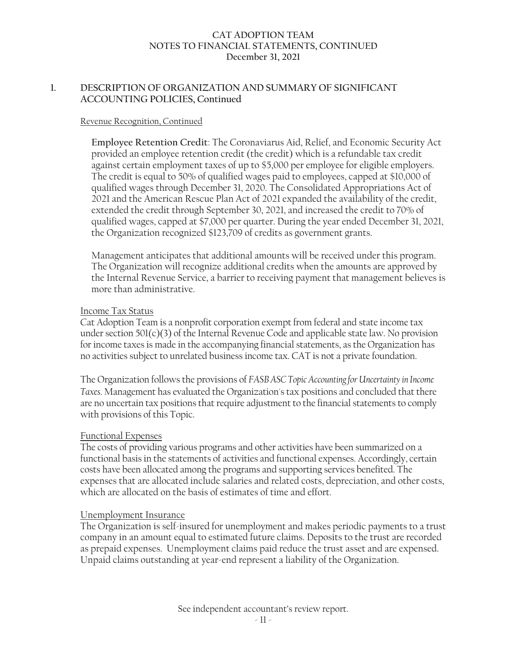#### **1. DESCRIPTION OF ORGANIZATION AND SUMMARY OF SIGNIFICANT ACCOUNTING POLICIES, Continued**

#### Revenue Recognition, Continued

**Employee Retention Credit**: The Coronaviarus Aid, Relief, and Economic Security Act provided an employee retention credit (the credit) which is a refundable tax credit against certain employment taxes of up to \$5,000 per employee for eligible employers. The credit is equal to 50% of qualified wages paid to employees, capped at \$10,000 of qualified wages through December 31, 2020. The Consolidated Appropriations Act of 2021 and the American Rescue Plan Act of 2021 expanded the availability of the credit, extended the credit through September 30, 2021, and increased the credit to 70% of qualified wages, capped at \$7,000 per quarter. During the year ended December 31, 2021, the Organization recognized \$123,709 of credits as government grants.

Management anticipates that additional amounts will be received under this program. The Organization will recognize additional credits when the amounts are approved by the Internal Revenue Service, a barrier to receiving payment that management believes is more than administrative.

#### Income Tax Status

Cat Adoption Team is a nonprofit corporation exempt from federal and state income tax under section 501(c)(3) of the Internal Revenue Code and applicable state law. No provision for income taxes is made in the accompanying financial statements, as the Organization has no activities subject to unrelated business income tax. CAT is not a private foundation.

The Organization follows the provisions of *FASB ASC Topic Accounting for Uncertainty in Income Taxes*. Management has evaluated the Organization's tax positions and concluded that there are no uncertain tax positions that require adjustment to the financial statements to comply with provisions of this Topic.

#### Functional Expenses

The costs of providing various programs and other activities have been summarized on a functional basis in the statements of activities and functional expenses. Accordingly, certain costs have been allocated among the programs and supporting services benefited. The expenses that are allocated include salaries and related costs, depreciation, and other costs, which are allocated on the basis of estimates of time and effort.

#### Unemployment Insurance

The Organization is self-insured for unemployment and makes periodic payments to a trust company in an amount equal to estimated future claims. Deposits to the trust are recorded as prepaid expenses. Unemployment claims paid reduce the trust asset and are expensed. Unpaid claims outstanding at year-end represent a liability of the Organization.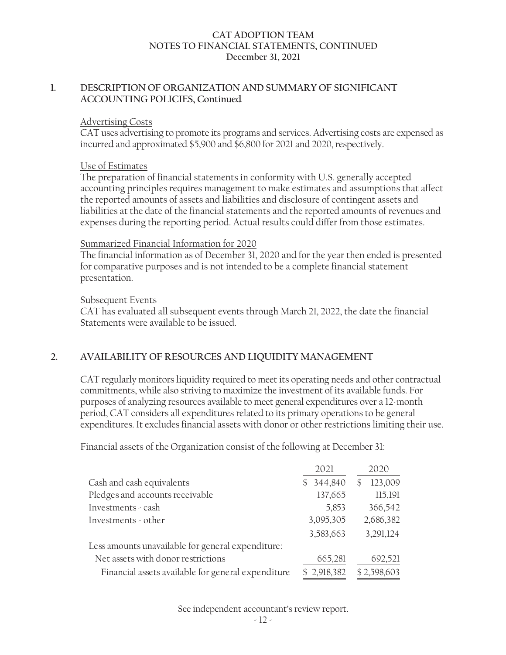#### **1. DESCRIPTION OF ORGANIZATION AND SUMMARY OF SIGNIFICANT ACCOUNTING POLICIES, Continued**

#### Advertising Costs

CAT uses advertising to promote its programs and services. Advertising costs are expensed as incurred and approximated \$5,900 and \$6,800 for 2021 and 2020, respectively.

# Use of Estimates

The preparation of financial statements in conformity with U.S. generally accepted accounting principles requires management to make estimates and assumptions that affect the reported amounts of assets and liabilities and disclosure of contingent assets and liabilities at the date of the financial statements and the reported amounts of revenues and expenses during the reporting period. Actual results could differ from those estimates.

# Summarized Financial Information for 2020

The financial information as of December 31, 2020 and for the year then ended is presented for comparative purposes and is not intended to be a complete financial statement presentation.

# Subsequent Events

CAT has evaluated all subsequent events through March 21, 2022, the date the financial Statements were available to be issued.

# **2. AVAILABILITY OF RESOURCES AND LIQUIDITY MANAGEMENT**

CAT regularly monitors liquidity required to meet its operating needs and other contractual commitments, while also striving to maximize the investment of its available funds. For purposes of analyzing resources available to meet general expenditures over a 12-month period, CAT considers all expenditures related to its primary operations to be general expenditures. It excludes financial assets with donor or other restrictions limiting their use.

Financial assets of the Organization consist of the following at December 31:

|                                                    | 2021        | 2020        |
|----------------------------------------------------|-------------|-------------|
| Cash and cash equivalents                          | 344,840     | 123,009     |
| Pledges and accounts receivable                    | 137,665     | 115,191     |
| Investments - cash                                 | 5,853       | 366,542     |
| Investments - other                                | 3,095,305   | 2,686,382   |
|                                                    | 3,583,663   | 3,291,124   |
| Less amounts unavailable for general expenditure:  |             |             |
| Net assets with donor restrictions                 | 665,281     | 692,521     |
| Financial assets available for general expenditure | \$2,918,382 | \$2,598,603 |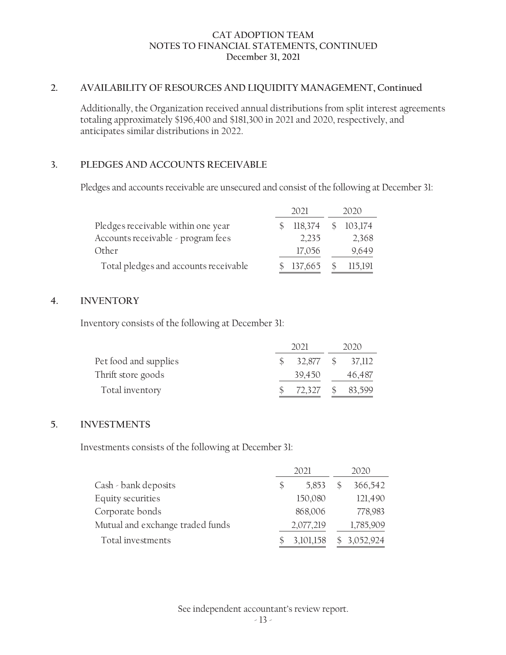#### **2. AVAILABILITY OF RESOURCES AND LIQUIDITY MANAGEMENT, Continued**

Additionally, the Organization received annual distributions from split interest agreements totaling approximately \$196,400 and \$181,300 in 2021 and 2020, respectively, and anticipates similar distributions in 2022.

# **3. PLEDGES AND ACCOUNTS RECEIVABLE**

Pledges and accounts receivable are unsecured and consist of the following at December 31:

|                                       | 2021      |               | 2020    |
|---------------------------------------|-----------|---------------|---------|
| Pledges receivable within one year    | 118,374   | <sup>\$</sup> | 103,174 |
| Accounts receivable - program fees    | 2,235     |               | 2,368   |
| Other                                 | 17,056    |               | 9,649   |
| Total pledges and accounts receivable | \$137,665 |               | 115,191 |

# **4. INVENTORY**

Inventory consists of the following at December 31:

|                       | ാറാം |        |  | 2020      |
|-----------------------|------|--------|--|-----------|
| Pet food and supplies |      | 32.877 |  | \$ 37,112 |
| Thrift store goods    |      | 39,450 |  | 46,487    |
| Total inventory       |      | 72.327 |  | 83,599    |

# **5. INVESTMENTS**

Investments consists of the following at December 31:

|                                  |   | 2021      | 2020      |
|----------------------------------|---|-----------|-----------|
| Cash - bank deposits             | S | 5.853     | 366,542   |
| Equity securities                |   | 150,080   | 121,490   |
| Corporate bonds                  |   | 868,006   | 778,983   |
| Mutual and exchange traded funds |   | 2,077,219 | 1,785,909 |
| Total investments                |   | 3,101,158 | 3,052,924 |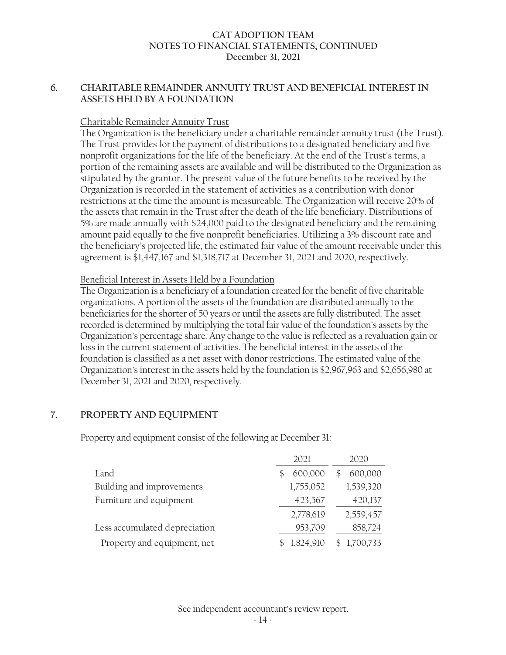# **6. CHARITABLE REMAINDER ANNUITY TRUST AND BENEFICIAL INTEREST IN ASSETS HELD BY A FOUNDATION**

# Charitable Remainder Annuity Trust

The Organization is the beneficiary under a charitable remainder annuity trust (the Trust). The Trust provides for the payment of distributions to a designated beneficiary and five nonprofit organizations for the life of the beneficiary. At the end of the Trust's terms, a portion of the remaining assets are available and will be distributed to the Organization as stipulated by the grantor. The present value of the future benefits to be received by the Organization is recorded in the statement of activities as a contribution with donor restrictions at the time the amount is measureable. The Organization will receive 20% of the assets that remain in the Trust after the death of the life beneficiary. Distributions of 5% are made annually with \$24,000 paid to the designated beneficiary and the remaining amount paid equally to the five nonprofit beneficiaries. Utilizing a 3% discount rate and the beneficiary's projected life, the estimated fair value of the amount receivable under this agreement is \$1,447,167 and \$1,318,717 at December 31, 2021 and 2020, respectively.

# Beneficial Interest in Assets Held by a Foundation

The Organization is a beneficiary of a foundation created for the benefit of five charitable organizations. A portion of the assets of the foundation are distributed annually to the beneficiaries for the shorter of 50 years or until the assets are fully distributed. The asset recorded is determined by multiplying the total fair value of the foundation's assets by the Organization's percentage share. Any change to the value is reflected as a revaluation gain or loss in the current statement of activities. The beneficial interest in the assets of the foundation is classified as a net asset with donor restrictions. The estimated value of the Organization's interest in the assets held by the foundation is \$2,967,963 and \$2,656,980 at December 31, 2021 and 2020, respectively.

# **7. PROPERTY AND EQUIPMENT**

Property and equipment consist of the following at December 31:

|                               | 2021           | 2020      |
|-------------------------------|----------------|-----------|
| Land                          | 600,000<br>\$. | 600,000   |
| Building and improvements     | 1,755,052      | 1,539,320 |
| Furniture and equipment       | 423,567        | 420,137   |
|                               | 2,778,619      | 2,559,457 |
| Less accumulated depreciation | 953,709        | 858,724   |
| Property and equipment, net   | 1,824,910      | 1,700,733 |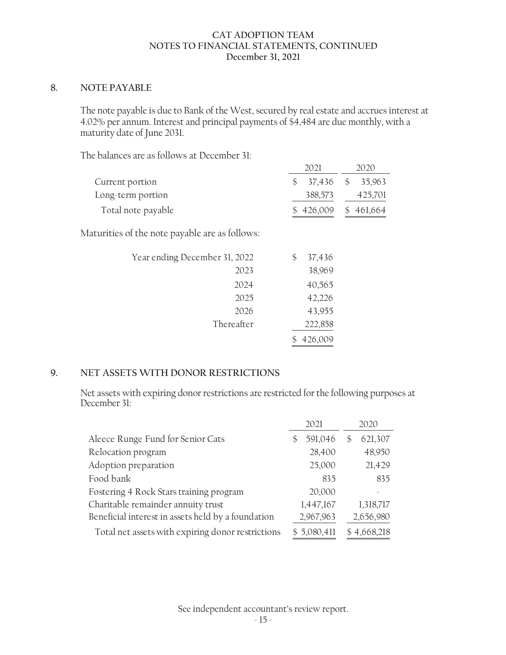#### **8. NOTE PAYABLE**

The note payable is due to Bank of the West, secured by real estate and accrues interest at 4.02% per annum. Interest and principal payments of \$4,484 are due monthly, with a maturity date of June 2031.

The balances are as follows at December 31:

|                    | 2021                  | 2020    |
|--------------------|-----------------------|---------|
| Current portion    | $$37,436$ $$35,963$   |         |
| Long-term portion  | 388,573               | 425,701 |
| Total note payable | $$426,009$ $$461,664$ |         |

Maturities of the note payable are as follows:

| Year ending December 31, 2022 | 37,436  |  |
|-------------------------------|---------|--|
| 2023                          | 38,969  |  |
| 2024                          | 40,565  |  |
| 2025                          | 42,226  |  |
| 2026                          | 43,955  |  |
| Thereafter                    | 222,858 |  |
|                               | 426,009 |  |

# **9. NET ASSETS WITH DONOR RESTRICTIONS**

Net assets with expiring donor restrictions are restricted for the following purposes at December 31:

|                                                    | 2021         | 2020         |
|----------------------------------------------------|--------------|--------------|
| Aleece Runge Fund for Senior Cats                  | 591,046<br>S | 621,307<br>S |
| Relocation program                                 | 28,400       | 48,950       |
| Adoption preparation                               | 25,000       | 21,429       |
| Food bank                                          | 835          | 835          |
| Fostering 4 Rock Stars training program            | 20,000       |              |
| Charitable remainder annuity trust                 | 1,447,167    | 1,318,717    |
| Beneficial interest in assets held by a foundation | 2,967,963    | 2,656,980    |
| Total net assets with expiring donor restrictions  | \$5,080,411  | \$4,668,218  |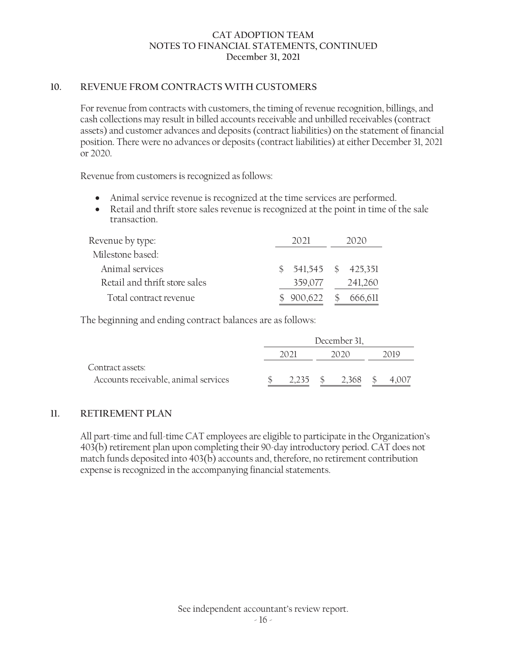# **10. REVENUE FROM CONTRACTS WITH CUSTOMERS**

For revenue from contracts with customers, the timing of revenue recognition, billings, and cash collections may result in billed accounts receivable and unbilled receivables (contract assets) and customer advances and deposits (contract liabilities) on the statement of financial position. There were no advances or deposits (contract liabilities) at either December 31, 2021 or 2020.

Revenue from customers is recognized as follows:

- Animal service revenue is recognized at the time services are performed.
- Retail and thrift store sales revenue is recognized at the point in time of the sale transaction.

| Revenue by type:              | 2021                  |  | 2020       |
|-------------------------------|-----------------------|--|------------|
| Milestone based:              |                       |  |            |
| Animal services               | $$541,545$ $$425,351$ |  |            |
| Retail and thrift store sales | 359,077               |  | 241,260    |
| Total contract revenue        | \$900,622             |  | \$ 666,611 |

The beginning and ending contract balances are as follows:

|                                      | December 31, |       |  |       |      |       |
|--------------------------------------|--------------|-------|--|-------|------|-------|
|                                      | 202          |       |  |       | 2019 |       |
| Contract assets:                     |              |       |  |       |      |       |
| Accounts receivable, animal services |              | 2.235 |  | 2.368 |      | 4.007 |

# **11. RETIREMENT PLAN**

All part-time and full-time CAT employees are eligible to participate in the Organization's 403(b) retirement plan upon completing their 90-day introductory period. CAT does not match funds deposited into 403(b) accounts and, therefore, no retirement contribution expense is recognized in the accompanying financial statements.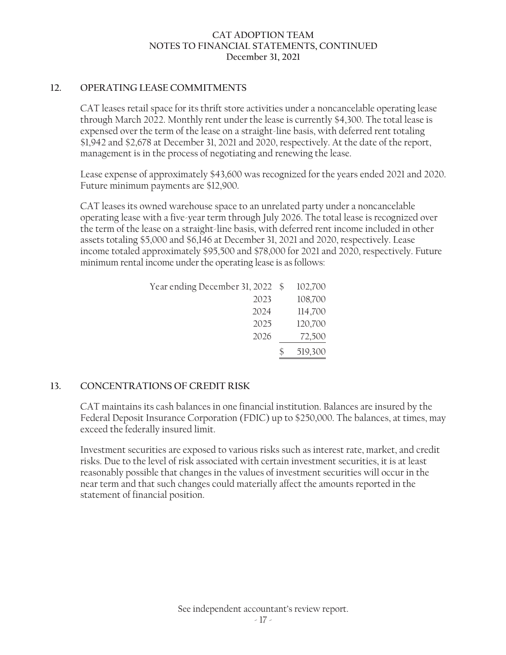# **12. OPERATING LEASE COMMITMENTS**

CAT leases retail space for its thrift store activities under a noncancelable operating lease through March 2022. Monthly rent under the lease is currently \$4,300. The total lease is expensed over the term of the lease on a straight-line basis, with deferred rent totaling \$1,942 and \$2,678 at December 31, 2021 and 2020, respectively. At the date of the report, management is in the process of negotiating and renewing the lease.

Lease expense of approximately \$43,600 was recognized for the years ended 2021 and 2020. Future minimum payments are \$12,900.

CAT leases its owned warehouse space to an unrelated party under a noncancelable operating lease with a five-year term through July 2026. The total lease is recognized over the term of the lease on a straight-line basis, with deferred rent income included in other assets totaling \$5,000 and \$6,146 at December 31, 2021 and 2020, respectively. Lease income totaled approximately \$95,500 and \$78,000 for 2021 and 2020, respectively. Future minimum rental income under the operating lease is as follows:

| Year ending December 31, 2022 | - \$ | 102,700 |
|-------------------------------|------|---------|
| 2023                          |      | 108,700 |
| 2024                          |      | 114,700 |
| 2025                          |      | 120,700 |
| 2026                          |      | 72,500  |
|                               |      | 519,300 |

# **13. CONCENTRATIONS OF CREDIT RISK**

CAT maintains its cash balances in one financial institution. Balances are insured by the Federal Deposit Insurance Corporation (FDIC) up to \$250,000. The balances, at times, may exceed the federally insured limit.

Investment securities are exposed to various risks such as interest rate, market, and credit risks. Due to the level of risk associated with certain investment securities, it is at least reasonably possible that changes in the values of investment securities will occur in the near term and that such changes could materially affect the amounts reported in the statement of financial position.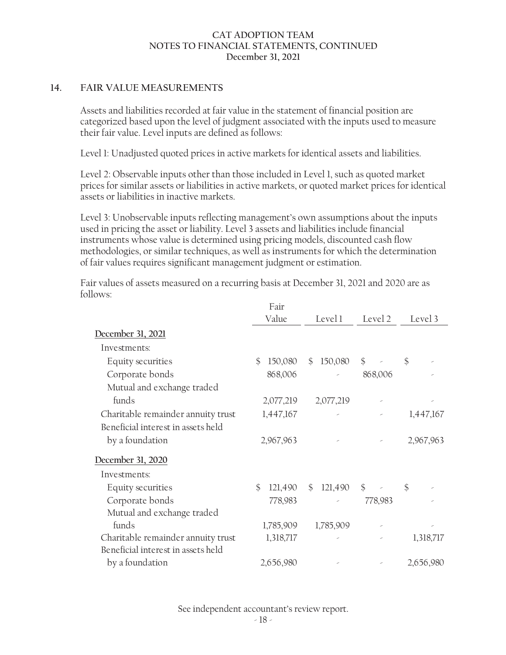# **14. FAIR VALUE MEASUREMENTS**

Assets and liabilities recorded at fair value in the statement of financial position are categorized based upon the level of judgment associated with the inputs used to measure their fair value. Level inputs are defined as follows:

Level 1: Unadjusted quoted prices in active markets for identical assets and liabilities.

Level 2: Observable inputs other than those included in Level 1, such as quoted market prices for similar assets or liabilities in active markets, or quoted market prices for identical assets or liabilities in inactive markets.

Level 3: Unobservable inputs reflecting management's own assumptions about the inputs used in pricing the asset or liability. Level 3 assets and liabilities include financial instruments whose value is determined using pricing models, discounted cash flow methodologies, or similar techniques, as well as instruments for which the determination of fair values requires significant management judgment or estimation.

Fair values of assets measured on a recurring basis at December 31, 2021 and 2020 are as follows:  $\overline{F}$ .

|                                    | Fair          |                                             |                                           |               |  |
|------------------------------------|---------------|---------------------------------------------|-------------------------------------------|---------------|--|
|                                    | Value         | Level 1                                     | Level 2                                   | Level 3       |  |
| December 31, 2021                  |               |                                             |                                           |               |  |
| Investments:                       |               |                                             |                                           |               |  |
| Equity securities                  | 150,080<br>\$ | 150,080<br>$\mathcal{S}$                    | $\mathcal{S}$<br>$\overline{\phantom{a}}$ | $\mathcal{S}$ |  |
| Corporate bonds                    | 868,006       | $\omega_{\rm{max}}$ and $\omega_{\rm{max}}$ | 868,006                                   |               |  |
| Mutual and exchange traded         |               |                                             |                                           |               |  |
| funds                              | 2,077,219     | 2,077,219                                   |                                           |               |  |
| Charitable remainder annuity trust | 1,447,167     |                                             |                                           | 1,447,167     |  |
| Beneficial interest in assets held |               |                                             |                                           |               |  |
| by a foundation                    | 2,967,963     |                                             |                                           | 2,967,963     |  |
| December 31, 2020                  |               |                                             |                                           |               |  |
| Investments:                       |               |                                             |                                           |               |  |
| Equity securities                  | \$<br>121,490 | $121,490$ \$<br>$\mathcal{S}$               |                                           | S             |  |
| Corporate bonds                    | 778,983       |                                             | 778,983                                   |               |  |
| Mutual and exchange traded         |               |                                             |                                           |               |  |
| funds                              | 1,785,909     | 1,785,909                                   |                                           |               |  |
| Charitable remainder annuity trust | 1,318,717     |                                             |                                           | 1,318,717     |  |
| Beneficial interest in assets held |               |                                             |                                           |               |  |
| by a foundation                    | 2,656,980     |                                             |                                           | 2,656,980     |  |